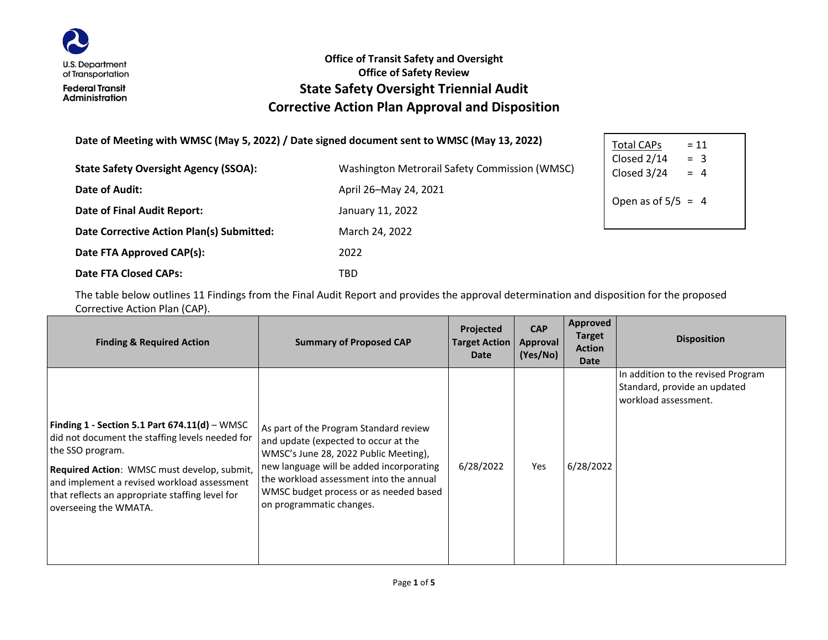

#### **Office of Transit Safety and Oversight Office of Safety Review State Safety Oversight Triennial Audit Corrective Action Plan Approval and Disposition**

#### **Date of Meeting with WMSC (May 5, 2022) / Date signed document sent to WMSC (May 13, 2022)**

| <b>State Safety Oversight Agency (SSOA):</b> | Washington Metrorail Safety Commission (WMSC) | Closed Z/J<br>Closed 3/2 |  |
|----------------------------------------------|-----------------------------------------------|--------------------------|--|
| Date of Audit:                               | April 26-May 24, 2021                         |                          |  |
| Date of Final Audit Report:                  | January 11, 2022                              | Open as of               |  |
| Date Corrective Action Plan(s) Submitted:    | March 24, 2022                                |                          |  |
| Date FTA Approved CAP(s):                    | 2022                                          |                          |  |
| <b>Date FTA Closed CAPs:</b>                 | TBD                                           |                          |  |

 $Total CAPS = 11$ Closed  $2/14$  = 3  $4 = 4$ of  $5/5 = 4$ 

The table below outlines 11 Findings from the Final Audit Report and provides the approval determination and disposition for the proposed Corrective Action Plan (CAP).

| <b>Finding &amp; Required Action</b>                                                                                                                                                                                                                                                             | <b>Summary of Proposed CAP</b>                                                                                                                                                                                                                                                       | Projected<br><b>Target Action</b><br><b>Date</b> | <b>CAP</b><br>Approval<br>(Yes/No) | Approved<br><b>Target</b><br><b>Action</b><br>Date | <b>Disposition</b>                                                                         |
|--------------------------------------------------------------------------------------------------------------------------------------------------------------------------------------------------------------------------------------------------------------------------------------------------|--------------------------------------------------------------------------------------------------------------------------------------------------------------------------------------------------------------------------------------------------------------------------------------|--------------------------------------------------|------------------------------------|----------------------------------------------------|--------------------------------------------------------------------------------------------|
| Finding 1 - Section 5.1 Part $674.11(d)$ – WMSC<br>did not document the staffing levels needed for<br>the SSO program.<br>Required Action: WMSC must develop, submit,<br>and implement a revised workload assessment<br>that reflects an appropriate staffing level for<br>overseeing the WMATA. | As part of the Program Standard review<br>and update (expected to occur at the<br>WMSC's June 28, 2022 Public Meeting),<br>new language will be added incorporating<br>the workload assessment into the annual<br>WMSC budget process or as needed based<br>on programmatic changes. | 6/28/2022                                        | Yes                                | 6/28/2022                                          | In addition to the revised Program<br>Standard, provide an updated<br>workload assessment. |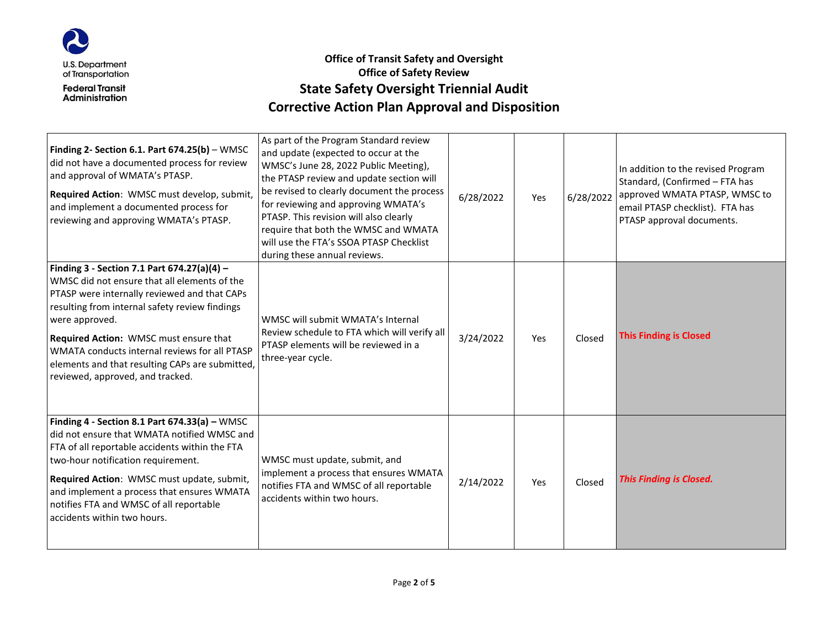

# **Office of Transit Safety and Oversight Office of Safety Review State Safety Oversight Triennial Audit Corrective Action Plan Approval and Disposition**

| Finding 2- Section 6.1. Part 674.25(b) - WMSC<br>did not have a documented process for review<br>and approval of WMATA's PTASP.<br>Required Action: WMSC must develop, submit,<br>and implement a documented process for<br>reviewing and approving WMATA's PTASP.                                                                                                                                | As part of the Program Standard review<br>and update (expected to occur at the<br>WMSC's June 28, 2022 Public Meeting),<br>the PTASP review and update section will<br>be revised to clearly document the process<br>for reviewing and approving WMATA's<br>PTASP. This revision will also clearly<br>require that both the WMSC and WMATA<br>will use the FTA's SSOA PTASP Checklist<br>during these annual reviews. | 6/28/2022 | Yes | 6/28/2022 | In addition to the revised Program<br>Standard, (Confirmed - FTA has<br>approved WMATA PTASP, WMSC to<br>email PTASP checklist). FTA has<br>PTASP approval documents. |
|---------------------------------------------------------------------------------------------------------------------------------------------------------------------------------------------------------------------------------------------------------------------------------------------------------------------------------------------------------------------------------------------------|-----------------------------------------------------------------------------------------------------------------------------------------------------------------------------------------------------------------------------------------------------------------------------------------------------------------------------------------------------------------------------------------------------------------------|-----------|-----|-----------|-----------------------------------------------------------------------------------------------------------------------------------------------------------------------|
| Finding 3 - Section 7.1 Part 674.27(a)(4) -<br>WMSC did not ensure that all elements of the<br>PTASP were internally reviewed and that CAPs<br>resulting from internal safety review findings<br>were approved.<br>Required Action: WMSC must ensure that<br>WMATA conducts internal reviews for all PTASP<br>elements and that resulting CAPs are submitted,<br>reviewed, approved, and tracked. | WMSC will submit WMATA's Internal<br>Review schedule to FTA which will verify all<br>PTASP elements will be reviewed in a<br>three-year cycle.                                                                                                                                                                                                                                                                        | 3/24/2022 | Yes | Closed    | <b>This Finding is Closed</b>                                                                                                                                         |
| Finding 4 - Section 8.1 Part $674.33(a)$ - WMSC<br>did not ensure that WMATA notified WMSC and<br>FTA of all reportable accidents within the FTA<br>two-hour notification requirement.<br>Required Action: WMSC must update, submit,<br>and implement a process that ensures WMATA<br>notifies FTA and WMSC of all reportable<br>accidents within two hours.                                      | WMSC must update, submit, and<br>implement a process that ensures WMATA<br>notifies FTA and WMSC of all reportable<br>accidents within two hours.                                                                                                                                                                                                                                                                     | 2/14/2022 | Yes | Closed    | <b>This Finding is Closed.</b>                                                                                                                                        |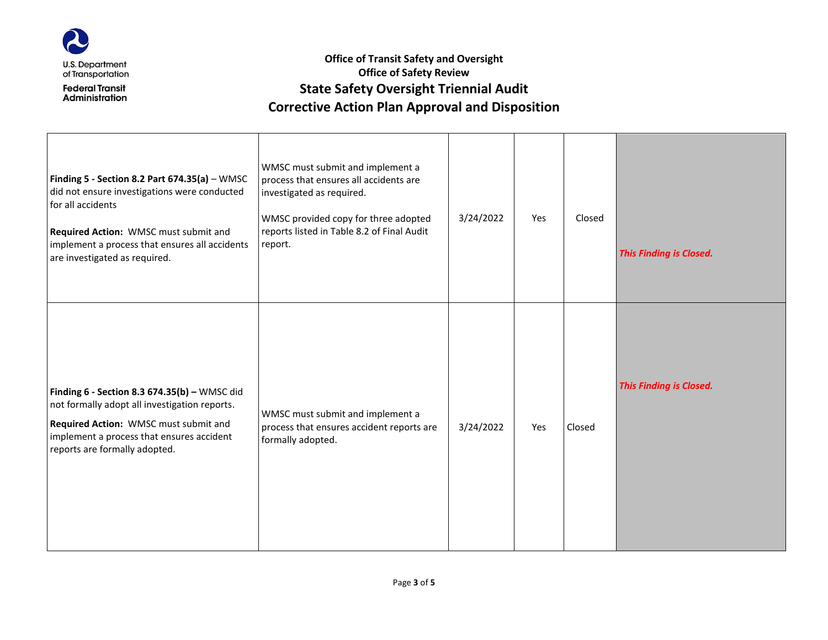

# **Office of Transit Safety and Oversight Office of Safety Review State Safety Oversight Triennial Audit Corrective Action Plan Approval and Disposition**

| Finding 5 - Section 8.2 Part $674.35(a) - WMSC$<br>did not ensure investigations were conducted<br>for all accidents<br>Required Action: WMSC must submit and<br>implement a process that ensures all accidents<br>are investigated as required. | WMSC must submit and implement a<br>process that ensures all accidents are<br>investigated as required.<br>WMSC provided copy for three adopted<br>reports listed in Table 8.2 of Final Audit<br>report. | 3/24/2022 | Yes | Closed | <b>This Finding is Closed.</b> |
|--------------------------------------------------------------------------------------------------------------------------------------------------------------------------------------------------------------------------------------------------|----------------------------------------------------------------------------------------------------------------------------------------------------------------------------------------------------------|-----------|-----|--------|--------------------------------|
| Finding $6$ - Section 8.3 674.35(b) - WMSC did<br>not formally adopt all investigation reports.<br>Required Action: WMSC must submit and<br>implement a process that ensures accident<br>reports are formally adopted.                           | WMSC must submit and implement a<br>process that ensures accident reports are<br>formally adopted.                                                                                                       | 3/24/2022 | Yes | Closed | <b>This Finding is Closed.</b> |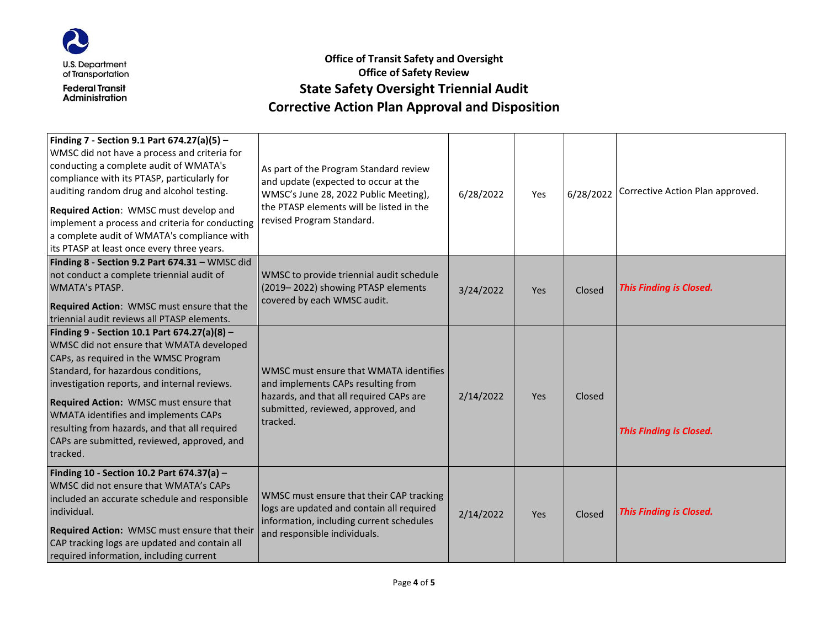

# **Office of Transit Safety and Oversight Office of Safety Review State Safety Oversight Triennial Audit Corrective Action Plan Approval and Disposition**

| Finding 7 - Section 9.1 Part 674.27(a)(5) -<br>WMSC did not have a process and criteria for<br>conducting a complete audit of WMATA's<br>compliance with its PTASP, particularly for<br>auditing random drug and alcohol testing.<br>Required Action: WMSC must develop and<br>implement a process and criteria for conducting<br>a complete audit of WMATA's compliance with<br>its PTASP at least once every three years. | As part of the Program Standard review<br>and update (expected to occur at the<br>WMSC's June 28, 2022 Public Meeting),<br>the PTASP elements will be listed in the<br>revised Program Standard. | 6/28/2022 | Yes | 6/28/2022 | Corrective Action Plan approved. |
|-----------------------------------------------------------------------------------------------------------------------------------------------------------------------------------------------------------------------------------------------------------------------------------------------------------------------------------------------------------------------------------------------------------------------------|--------------------------------------------------------------------------------------------------------------------------------------------------------------------------------------------------|-----------|-----|-----------|----------------------------------|
| Finding 8 - Section 9.2 Part 674.31 - WMSC did<br>not conduct a complete triennial audit of<br><b>WMATA's PTASP.</b><br>Required Action: WMSC must ensure that the<br>triennial audit reviews all PTASP elements.                                                                                                                                                                                                           | WMSC to provide triennial audit schedule<br>(2019-2022) showing PTASP elements<br>covered by each WMSC audit.                                                                                    | 3/24/2022 | Yes | Closed    | <b>This Finding is Closed.</b>   |
| Finding 9 - Section 10.1 Part 674.27(a)(8) -<br>WMSC did not ensure that WMATA developed<br>CAPs, as required in the WMSC Program<br>Standard, for hazardous conditions,<br>investigation reports, and internal reviews.<br>Required Action: WMSC must ensure that<br>WMATA identifies and implements CAPs<br>resulting from hazards, and that all required<br>CAPs are submitted, reviewed, approved, and<br>tracked.      | WMSC must ensure that WMATA identifies<br>and implements CAPs resulting from<br>hazards, and that all required CAPs are<br>submitted, reviewed, approved, and<br>tracked.                        | 2/14/2022 | Yes | Closed    | <b>This Finding is Closed.</b>   |
| Finding 10 - Section 10.2 Part 674.37(a) -<br>WMSC did not ensure that WMATA's CAPs<br>included an accurate schedule and responsible<br>individual.<br>Required Action: WMSC must ensure that their<br>CAP tracking logs are updated and contain all<br>required information, including current                                                                                                                             | WMSC must ensure that their CAP tracking<br>logs are updated and contain all required<br>information, including current schedules<br>and responsible individuals.                                | 2/14/2022 | Yes | Closed    | <b>This Finding is Closed.</b>   |